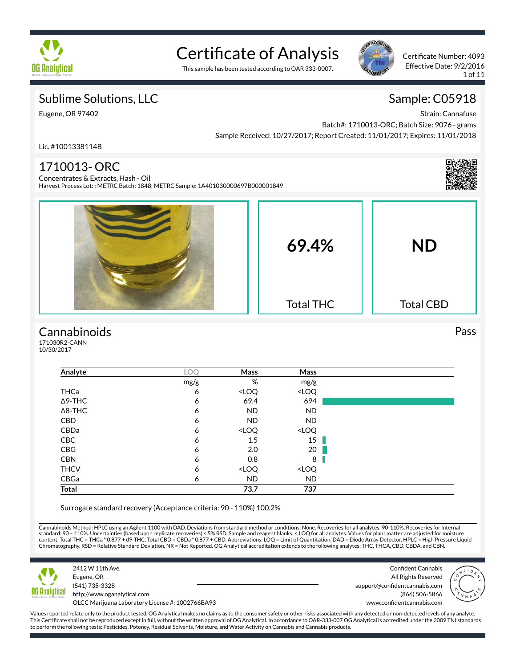

# Certificate of Analysis

This sample has been tested according to OAR 333-0007.



Certificate Number: 4093 Effective Date: 9/2/2016 1 of 11

### Sublime Solutions, LLC

Eugene, OR 97402

## Sample: C05918

Strain: Cannafuse

Batch#: 1710013-ORC; Batch Size: 9076 - grams Sample Received: 10/27/2017; Report Created: 11/01/2017; Expires: 11/01/2018

Lic. #1001338114B

## 1710013- ORC



Concentrates & Extracts, Hash - Oil Harvest Process Lot: ; METRC Batch: 1848; METRC Sample: 1A401030000697B000001849



#### **Cannabinoids**

171030R2-CANN 10/30/2017

| Analyte        | LOQ  | Mass                                                     | Mass                         |  |
|----------------|------|----------------------------------------------------------|------------------------------|--|
|                | mg/g | %                                                        | mg/g                         |  |
| THCa           | 6    | <loq< td=""><td><loq< td=""><td></td></loq<></td></loq<> | <loq< td=""><td></td></loq<> |  |
| $\Delta$ 9-THC | 6    | 69.4                                                     | 694                          |  |
| $\Delta$ 8-THC | 6    | <b>ND</b>                                                | <b>ND</b>                    |  |
| <b>CBD</b>     | 6    | ND                                                       | <b>ND</b>                    |  |
| CBDa           | 6    | <loq< td=""><td><loq< td=""><td></td></loq<></td></loq<> | <loq< td=""><td></td></loq<> |  |
| CBC            | 6    | 1.5                                                      | 15 <sup>1</sup>              |  |
| CBG            | 6    | 2.0                                                      | 20                           |  |
| <b>CBN</b>     | 6    | 0.8                                                      | 8                            |  |
| <b>THCV</b>    | 6    | <loq< td=""><td><loq< td=""><td></td></loq<></td></loq<> | <loq< td=""><td></td></loq<> |  |
| CBGa           | 6    | <b>ND</b>                                                | <b>ND</b>                    |  |
| Total          |      | 73.7                                                     | 737                          |  |

Surrogate standard recovery (Acceptance criteria: 90 - 110%) 100.2%

Cannabinoids Method: HPLC using an Agilent 1100 with DAD. Deviations from standard method or conditions: None. Recoveries for all analytes: 90-110%. Recoveries for internal standard: 90 – 110%. Uncertainties (based upon replicate recoveries) < 5% RSD. Sample and reagent blanks: < LOQ for all analytes. Values for plant matter are adjusted for moisture<br>content. Total THC = THCa \* 0.877 + d9-THC Chromatography, RSD = Relative Standard Deviation, NR = Not Reported. OG Analytical accreditation extends to the following analytes: THC, THCA, CBD, CBDA, and CBN.



Eugene, OR (541) 735-3328 http://www.oganalytical.com OLCC Marijuana Laboratory License #: 1002766BA93

2412 W 11th Ave.

Confident Cannabis All Rights Reserved support@confidentcannabis.com (866) 506-5866 www.confidentcannabis.com



Values reported relate only to the product tested. OG Analytical makes no claims as to the consumer safety or other risks associated with any detected or non-detected levels of any analyte. This Certificate shall not be reproduced except in full, without the written approval of OG Analytical. In accordance to OAR-333-007 OG Analytical is accredited under the 2009 TNI standards to perform the following tests: Pesticides, Potency, Residual Solvents, Moisture, and Water Activity on Cannabis and Cannabis products.

Pass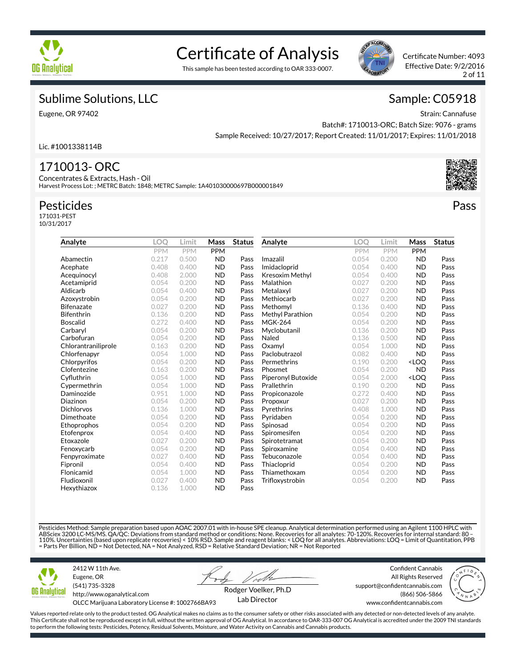

# Certificate of Analysis





Certificate Number: 4093 Effective Date: 9/2/2016 2 of 11

Pass

### Sublime Solutions, LLC

Eugene, OR 97402

Sample: C05918

Strain: Cannafuse Batch#: 1710013-ORC; Batch Size: 9076 - grams Sample Received: 10/27/2017; Report Created: 11/01/2017; Expires: 11/01/2018

Lic. #1001338114B

### 1710013- ORC

Concentrates & Extracts, Hash - Oil Harvest Process Lot: ; METRC Batch: 1848; METRC Sample: 1A401030000697B000001849

#### Pesticides

171031-PEST 10/31/2017

| Analyte             | LOO        | Limit      | Mass       | <b>Status</b> | Analyte            | LOO        | Limit      | Mass                             | <b>Status</b> |
|---------------------|------------|------------|------------|---------------|--------------------|------------|------------|----------------------------------|---------------|
|                     | <b>PPM</b> | <b>PPM</b> | <b>PPM</b> |               |                    | <b>PPM</b> | <b>PPM</b> | <b>PPM</b>                       |               |
| Abamectin           | 0.217      | 0.500      | <b>ND</b>  | Pass          | Imazalil           | 0.054      | 0.200      | <b>ND</b>                        | Pass          |
| Acephate            | 0.408      | 0.400      | <b>ND</b>  | Pass          | Imidacloprid       | 0.054      | 0.400      | <b>ND</b>                        | Pass          |
| Acequinocyl         | 0.408      | 2.000      | <b>ND</b>  | Pass          | Kresoxim Methyl    | 0.054      | 0.400      | <b>ND</b>                        | Pass          |
| Acetamiprid         | 0.054      | 0.200      | <b>ND</b>  | Pass          | Malathion          | 0.027      | 0.200      | <b>ND</b>                        | Pass          |
| Aldicarb            | 0.054      | 0.400      | <b>ND</b>  | Pass          | Metalaxyl          | 0.027      | 0.200      | <b>ND</b>                        | Pass          |
| Azoxystrobin        | 0.054      | 0.200      | <b>ND</b>  | Pass          | Methiocarb         | 0.027      | 0.200      | <b>ND</b>                        | Pass          |
| <b>Bifenazate</b>   | 0.027      | 0.200      | <b>ND</b>  | Pass          | Methomyl           | 0.136      | 0.400      | <b>ND</b>                        | Pass          |
| <b>Bifenthrin</b>   | 0.136      | 0.200      | <b>ND</b>  | Pass          | Methyl Parathion   | 0.054      | 0.200      | <b>ND</b>                        | Pass          |
| <b>Boscalid</b>     | 0.272      | 0.400      | <b>ND</b>  | Pass          | <b>MGK-264</b>     | 0.054      | 0.200      | <b>ND</b>                        | Pass          |
| Carbaryl            | 0.054      | 0.200      | <b>ND</b>  | Pass          | Myclobutanil       | 0.136      | 0.200      | <b>ND</b>                        | Pass          |
| Carbofuran          | 0.054      | 0.200      | <b>ND</b>  | Pass          | Naled              | 0.136      | 0.500      | <b>ND</b>                        | Pass          |
| Chlorantraniliprole | 0.163      | 0.200      | <b>ND</b>  | Pass          | Oxamyl             | 0.054      | 1.000      | <b>ND</b>                        | Pass          |
| Chlorfenapyr        | 0.054      | 1.000      | <b>ND</b>  | Pass          | Paclobutrazol      | 0.082      | 0.400      | <b>ND</b>                        | Pass          |
| Chlorpyrifos        | 0.054      | 0.200      | <b>ND</b>  | Pass          | Permethrins        | 0.190      | 0.200      | <loq< td=""><td>Pass</td></loq<> | Pass          |
| Clofentezine        | 0.163      | 0.200      | <b>ND</b>  | Pass          | Phosmet            | 0.054      | 0.200      | <b>ND</b>                        | Pass          |
| Cyfluthrin          | 0.054      | 1.000      | <b>ND</b>  | Pass          | Piperonyl Butoxide | 0.054      | 2.000      | <loq< td=""><td>Pass</td></loq<> | Pass          |
| Cypermethrin        | 0.054      | 1.000      | <b>ND</b>  | Pass          | Prallethrin        | 0.190      | 0.200      | <b>ND</b>                        | Pass          |
| Daminozide          | 0.951      | 1.000      | <b>ND</b>  | Pass          | Propiconazole      | 0.272      | 0.400      | <b>ND</b>                        | Pass          |
| Diazinon            | 0.054      | 0.200      | <b>ND</b>  | Pass          | Propoxur           | 0.027      | 0.200      | <b>ND</b>                        | Pass          |
| <b>Dichlorvos</b>   | 0.136      | 1.000      | <b>ND</b>  | Pass          | Pyrethrins         | 0.408      | 1.000      | <b>ND</b>                        | Pass          |
| Dimethoate          | 0.054      | 0.200      | <b>ND</b>  | Pass          | Pyridaben          | 0.054      | 0.200      | <b>ND</b>                        | Pass          |
| Ethoprophos         | 0.054      | 0.200      | <b>ND</b>  | Pass          | Spinosad           | 0.054      | 0.200      | <b>ND</b>                        | Pass          |
| Etofenprox          | 0.054      | 0.400      | <b>ND</b>  | Pass          | Spiromesifen       | 0.054      | 0.200      | <b>ND</b>                        | Pass          |
| Etoxazole           | 0.027      | 0.200      | <b>ND</b>  | Pass          | Spirotetramat      | 0.054      | 0.200      | <b>ND</b>                        | Pass          |
| Fenoxycarb          | 0.054      | 0.200      | <b>ND</b>  | Pass          | Spiroxamine        | 0.054      | 0.400      | <b>ND</b>                        | Pass          |
| Fenpyroximate       | 0.027      | 0.400      | <b>ND</b>  | Pass          | Tebuconazole       | 0.054      | 0.400      | <b>ND</b>                        | Pass          |
| Fipronil            | 0.054      | 0.400      | <b>ND</b>  | Pass          | Thiacloprid        | 0.054      | 0.200      | <b>ND</b>                        | Pass          |
| Flonicamid          | 0.054      | 1.000      | <b>ND</b>  | Pass          | Thiamethoxam       | 0.054      | 0.200      | <b>ND</b>                        | Pass          |
| Fludioxonil         | 0.027      | 0.400      | <b>ND</b>  | Pass          | Trifloxystrobin    | 0.054      | 0.200      | <b>ND</b>                        | Pass          |
| Hexythiazox         | 0.136      | 1.000      | <b>ND</b>  | Pass          |                    |            |            |                                  |               |

Pesticides Method: Sample preparation based upon AOAC 2007.01 with in-house SPE cleanup. Analytical determination performed using an Agilent 1100 HPLC with ABSciex 3200 LC-MS/MS. QA/QC: Deviations from standard method or conditions: None. Recoveries for all analytes: 70-120%. Recoveries for internal standard: 80 –<br>110%. Uncertainties (based upon replicate recoveries) < 10% RS = Parts Per Billion, ND = Not Detected, NA = Not Analyzed, RSD = Relative Standard Deviation; NR = Not Reported



2412 W 11th Ave. Eugene, OR (541) 735-3328 http://www.oganalytical.com

Confident Cannabis All Rights Reserved support@confidentcannabis.com



OLCC Marijuana Laboratory License #: 1002766BA93

Rodger Voelker, Ph.D Lab Director

(866) 506-5866 www.confidentcannabis.com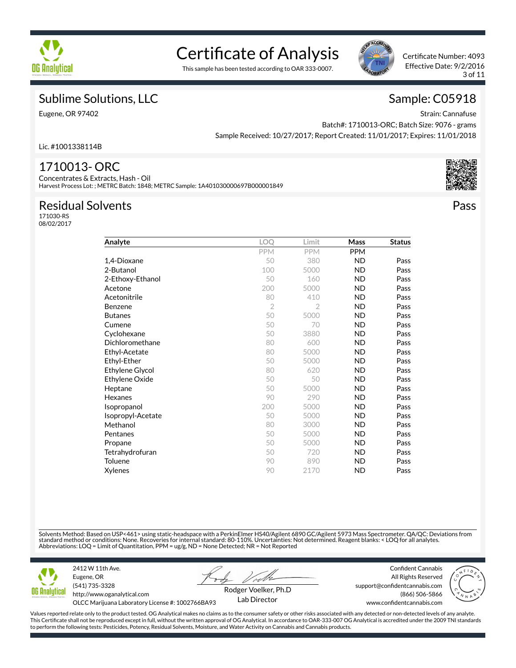

# Certificate of Analysis

This sample has been tested according to OAR 333-0007.



Certificate Number: 4093 Effective Date: 9/2/2016 3 of 11

### Sublime Solutions, LLC

Eugene, OR 97402

Sample: C05918

Strain: Cannafuse Batch#: 1710013-ORC; Batch Size: 9076 - grams Sample Received: 10/27/2017; Report Created: 11/01/2017; Expires: 11/01/2018

Lic. #1001338114B

#### 1710013- ORC

Concentrates & Extracts, Hash - Oil Harvest Process Lot: ; METRC Batch: 1848; METRC Sample: 1A401030000697B000001849

#### Residual Solvents

171030-RS 08/02/2017

| Analyte           | LOQ            | Limit      | Mass       | <b>Status</b> |
|-------------------|----------------|------------|------------|---------------|
|                   | <b>PPM</b>     | <b>PPM</b> | <b>PPM</b> |               |
| 1,4-Dioxane       | 50             | 380        | <b>ND</b>  | Pass          |
| 2-Butanol         | 100            | 5000       | <b>ND</b>  | Pass          |
| 2-Ethoxy-Ethanol  | 50             | 160        | <b>ND</b>  | Pass          |
| Acetone           | 200            | 5000       | <b>ND</b>  | Pass          |
| Acetonitrile      | 80             | 410        | <b>ND</b>  | Pass          |
| Benzene           | $\overline{2}$ | 2          | <b>ND</b>  | Pass          |
| <b>Butanes</b>    | 50             | 5000       | <b>ND</b>  | Pass          |
| Cumene            | 50             | 70         | <b>ND</b>  | Pass          |
| Cyclohexane       | 50             | 3880       | <b>ND</b>  | Pass          |
| Dichloromethane   | 80             | 600        | <b>ND</b>  | Pass          |
| Ethyl-Acetate     | 80             | 5000       | <b>ND</b>  | Pass          |
| Ethyl-Ether       | 50             | 5000       | <b>ND</b>  | Pass          |
| Ethylene Glycol   | 80             | 620        | <b>ND</b>  | Pass          |
| Ethylene Oxide    | 50             | 50         | <b>ND</b>  | Pass          |
| Heptane           | 50             | 5000       | <b>ND</b>  | Pass          |
| Hexanes           | 90             | 290        | <b>ND</b>  | Pass          |
| Isopropanol       | 200            | 5000       | <b>ND</b>  | Pass          |
| Isopropyl-Acetate | 50             | 5000       | <b>ND</b>  | Pass          |
| Methanol          | 80             | 3000       | <b>ND</b>  | Pass          |
| Pentanes          | 50             | 5000       | <b>ND</b>  | Pass          |
| Propane           | 50             | 5000       | <b>ND</b>  | Pass          |
| Tetrahydrofuran   | 50             | 720        | ND.        | Pass          |
| Toluene           | 90             | 890        | <b>ND</b>  | Pass          |
| <b>Xylenes</b>    | 90             | 2170       | <b>ND</b>  | Pass          |
|                   |                |            |            |               |

Solvents Method: Based on USP<461> using static-headspace with a PerkinElmer HS40/Agilent 6890 GC/Agilent 5973 Mass Spectrometer. QA/QC: Deviations from standard method or conditions: None. Recoveries for internal standard: 80-110%. Uncertainties: Not determined. Reagent blanks: < LOQ for all analytes.<br>Abbreviations: LOQ = Limit of Quantitation, PPM = ug/g, ND = None Detec



Eugene, OR (541) 735-3328 http://www.oganalytical.com

2412 W 11th Ave.

Confident Cannabis All Rights Reserved support@confidentcannabis.com



OLCC Marijuana Laboratory License #: 1002766BA93

Rodger Voelker, Ph.D Lab Director



www.confidentcannabis.com

Values reported relate only to the product tested. OG Analytical makes no claims as to the consumer safety or other risks associated with any detected or non-detected levels of any analyte. This Certificate shall not be reproduced except in full, without the written approval of OG Analytical. In accordance to OAR-333-007 OG Analytical is accredited under the 2009 TNI standards to perform the following tests: Pesticides, Potency, Residual Solvents, Moisture, and Water Activity on Cannabis and Cannabis products.



Pass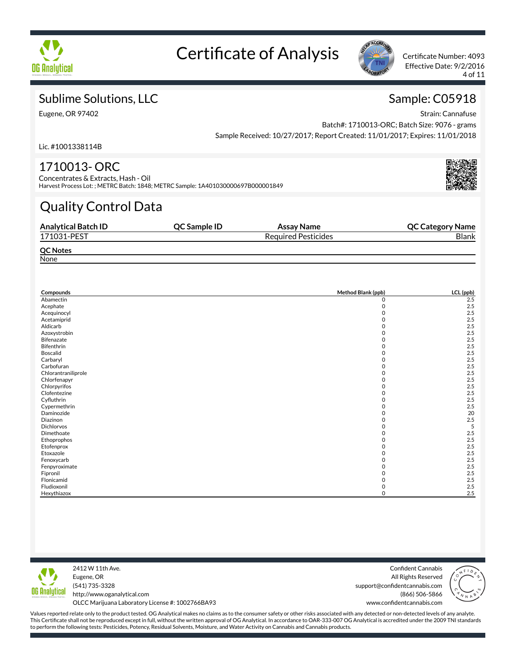



Effective Date: 9/2/2016 4 of 11

## Sublime Solutions, LLC

Eugene, OR 97402

Sample: C05918

Strain: Cannafuse Batch#: 1710013-ORC; Batch Size: 9076 - grams Sample Received: 10/27/2017; Report Created: 11/01/2017; Expires: 11/01/2018

Lic. #1001338114B

## 1710013- ORC

Concentrates & Extracts, Hash - Oil Harvest Process Lot: ; METRC Batch: 1848; METRC Sample: 1A401030000697B000001849

# Quality Control Data

| <b>Analytical Batch ID</b> | QC Sample ID | Assay Name                 | <b>QC Category Name</b> |
|----------------------------|--------------|----------------------------|-------------------------|
| 171031-PEST                |              | <b>Required Pesticides</b> | <b>Blank</b>            |
| <b>QC Notes</b>            |              |                            |                         |
| None                       |              |                            |                         |

| Compounds           | Method Blank (ppb) | LCL (ppb) |
|---------------------|--------------------|-----------|
| Abamectin           | 0                  | 2.5       |
| Acephate            | $\mathbf 0$        | 2.5       |
| Acequinocyl         | 0                  | 2.5       |
| Acetamiprid         | 0                  | 2.5       |
| Aldicarb            | O                  | 2.5       |
| Azoxystrobin        | O                  | 2.5       |
| <b>Bifenazate</b>   | 0                  | 2.5       |
| Bifenthrin          | 0                  | 2.5       |
| Boscalid            |                    | 2.5       |
| Carbaryl            |                    | 2.5       |
| Carbofuran          | n                  | 2.5       |
| Chlorantraniliprole | 0                  | 2.5       |
| Chlorfenapyr        | 0                  | 2.5       |
| Chlorpyrifos        |                    | 2.5       |
| Clofentezine        |                    | 2.5       |
| Cyfluthrin          | O                  | 2.5       |
| Cypermethrin        |                    | 2.5       |
| Daminozide          | O                  | 20        |
| Diazinon            |                    | 2.5       |
| <b>Dichlorvos</b>   |                    | 5         |
| Dimethoate          | n                  | 2.5       |
| Ethoprophos         | 0                  | 2.5       |
| Etofenprox          | 0                  | 2.5       |
| Etoxazole           | 0                  | 2.5       |
| Fenoxycarb          | 0                  | 2.5       |
| Fenpyroximate       | O                  | 2.5       |
| Fipronil            |                    | 2.5       |
| Flonicamid          |                    | 2.5       |
| Fludioxonil         | 0                  | 2.5       |
| Hexythiazox         | O                  | 2.5       |



2412 W 11th Ave. Eugene, OR (541) 735-3328 http://www.oganalytical.com OLCC Marijuana Laboratory License #: 1002766BA93

Confident Cannabis All Rights Reserved support@confidentcannabis.com (866) 506-5866

www.confidentcannabis.com

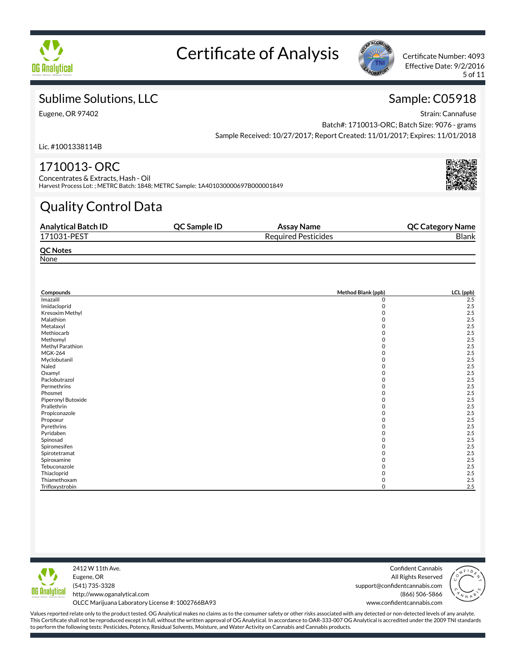



Effective Date: 9/2/2016 5 of 11

## Sublime Solutions, LLC

Eugene, OR 97402

Sample: C05918

Strain: Cannafuse Batch#: 1710013-ORC; Batch Size: 9076 - grams Sample Received: 10/27/2017; Report Created: 11/01/2017; Expires: 11/01/2018

Lic. #1001338114B

## 1710013- ORC

Concentrates & Extracts, Hash - Oil Harvest Process Lot: ; METRC Batch: 1848; METRC Sample: 1A401030000697B000001849

# Quality Control Data

| <b>Analytical Batch ID</b> | <b>OC Sample ID</b> | Assay Name                 | <b>QC Category Name</b> |
|----------------------------|---------------------|----------------------------|-------------------------|
| 171031-PEST                |                     | <b>Required Pesticides</b> | <b>Blank</b>            |
| <b>QC Notes</b>            |                     |                            |                         |
| None                       |                     |                            |                         |

| Compounds          | Method Blank (ppb) | LCL (ppb) |
|--------------------|--------------------|-----------|
| Imazalil           | 0                  | 2.5       |
| Imidacloprid       | 0                  | 2.5       |
| Kresoxim Methyl    | 0                  | 2.5       |
| Malathion          | O                  | 2.5       |
| Metalaxyl          |                    | 2.5       |
| Methiocarb         | 0                  | 2.5       |
| Methomyl           |                    | 2.5       |
| Methyl Parathion   |                    | 2.5       |
| <b>MGK-264</b>     |                    | 2.5       |
| Myclobutanil       |                    | 2.5       |
| Naled              | O                  | 2.5       |
| Oxamyl             |                    | 2.5       |
| Paclobutrazol      |                    | 2.5       |
| Permethrins        |                    | 2.5       |
| Phosmet            | 0                  | 2.5       |
| Piperonyl Butoxide |                    | 2.5       |
| Prallethrin        | O                  | 2.5       |
| Propiconazole      |                    | 2.5       |
| Propoxur           |                    | 2.5       |
| Pyrethrins         |                    | 2.5       |
| Pyridaben          |                    | 2.5       |
| Spinosad           |                    | 2.5       |
| Spiromesifen       |                    | 2.5       |
| Spirotetramat      | 0                  | 2.5       |
| Spiroxamine        |                    | 2.5       |
| Tebuconazole       |                    | 2.5       |
| Thiacloprid        |                    | 2.5       |
| Thiamethoxam       | O                  | 2.5       |
| Trifloxystrobin    | Ω                  | 2.5       |



2412 W 11th Ave. Eugene, OR (541) 735-3328 http://www.oganalytical.com

Confident Cannabis All Rights Reserved support@confidentcannabis.com (866) 506-5866 www.confidentcannabis.com



OLCC Marijuana Laboratory License #: 1002766BA93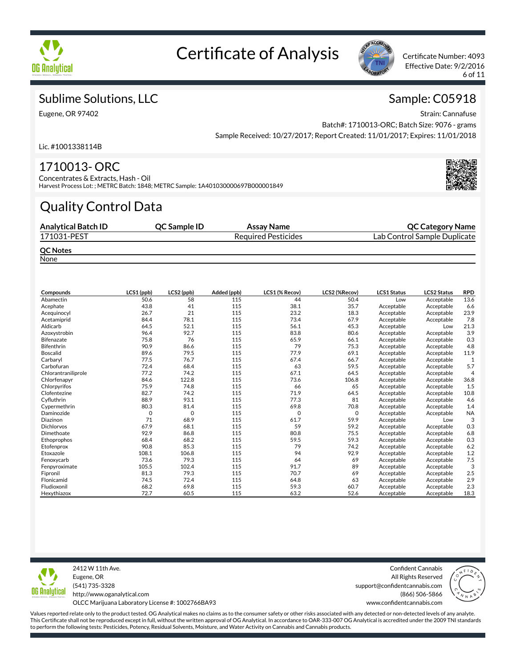



Effective Date: 9/2/2016 6 of 11

Sample: C05918

## Sublime Solutions, LLC

Eugene, OR 97402

Strain: Cannafuse Batch#: 1710013-ORC; Batch Size: 9076 - grams Sample Received: 10/27/2017; Report Created: 11/01/2017; Expires: 11/01/2018

Lic. #1001338114B

### 1710013- ORC

Concentrates & Extracts, Hash - Oil Harvest Process Lot: ; METRC Batch: 1848; METRC Sample: 1A401030000697B000001849

# Quality Control Data

| <b>Analytical Batch ID</b> | <b>OC Sample ID</b> | Assay Name                 | <b>QC Category Name</b>      |
|----------------------------|---------------------|----------------------------|------------------------------|
| 171031-PEST                |                     | <b>Required Pesticides</b> | Lab Control Sample Duplicate |
| <b>QC Notes</b><br>.       |                     |                            |                              |

**None** 

| Compounds           | LCS1 (ppb) | LCS2 (ppb)  | Added (ppb) | LCS1 (% Recov) | <b>LCS2 (%Recov)</b> | <b>LCS1 Status</b> | <b>LCS2 Status</b> | <b>RPD</b>     |
|---------------------|------------|-------------|-------------|----------------|----------------------|--------------------|--------------------|----------------|
| Abamectin           | 50.6       | 58          | 115         | 44             | 50.4                 | Low                | Acceptable         | 13.6           |
| Acephate            | 43.8       | 41          | 115         | 38.1           | 35.7                 | Acceptable         | Acceptable         | 6.6            |
| Acequinocyl         | 26.7       | 21          | 115         | 23.2           | 18.3                 | Acceptable         | Acceptable         | 23.9           |
| Acetamiprid         | 84.4       | 78.1        | 115         | 73.4           | 67.9                 | Acceptable         | Acceptable         | 7.8            |
| Aldicarb            | 64.5       | 52.1        | 115         | 56.1           | 45.3                 | Acceptable         | Low                | 21.3           |
| Azoxystrobin        | 96.4       | 92.7        | 115         | 83.8           | 80.6                 | Acceptable         | Acceptable         | 3.9            |
| <b>Bifenazate</b>   | 75.8       | 76          | 115         | 65.9           | 66.1                 | Acceptable         | Acceptable         | 0.3            |
| <b>Bifenthrin</b>   | 90.9       | 86.6        | 115         | 79             | 75.3                 | Acceptable         | Acceptable         | 4.8            |
| <b>Boscalid</b>     | 89.6       | 79.5        | 115         | 77.9           | 69.1                 | Acceptable         | Acceptable         | 11.9           |
| Carbaryl            | 77.5       | 76.7        | 115         | 67.4           | 66.7                 | Acceptable         | Acceptable         | 1              |
| Carbofuran          | 72.4       | 68.4        | 115         | 63             | 59.5                 | Acceptable         | Acceptable         | 5.7            |
| Chlorantraniliprole | 77.2       | 74.2        | 115         | 67.1           | 64.5                 | Acceptable         | Acceptable         | $\overline{4}$ |
| Chlorfenapyr        | 84.6       | 122.8       | 115         | 73.6           | 106.8                | Acceptable         | Acceptable         | 36.8           |
| Chlorpyrifos        | 75.9       | 74.8        | 115         | 66             | 65                   | Acceptable         | Acceptable         | 1.5            |
| Clofentezine        | 82.7       | 74.2        | 115         | 71.9           | 64.5                 | Acceptable         | Acceptable         | 10.8           |
| Cyfluthrin          | 88.9       | 93.1        | 115         | 77.3           | 81                   | Acceptable         | Acceptable         | 4.6            |
| Cypermethrin        | 80.3       | 81.4        | 115         | 69.8           | 70.8                 | Acceptable         | Acceptable         | 1.4            |
| Daminozide          | 0          | $\mathbf 0$ | 115         | 0              | $\mathbf 0$          | Acceptable         | Acceptable         | <b>NA</b>      |
| Diazinon            | 71         | 68.9        | 115         | 61.7           | 59.9                 | Acceptable         | Low                | 3              |
| <b>Dichlorvos</b>   | 67.9       | 68.1        | 115         | 59             | 59.2                 | Acceptable         | Acceptable         | 0.3            |
| Dimethoate          | 92.9       | 86.8        | 115         | 80.8           | 75.5                 | Acceptable         | Acceptable         | 6.8            |
| Ethoprophos         | 68.4       | 68.2        | 115         | 59.5           | 59.3                 | Acceptable         | Acceptable         | 0.3            |
| Etofenprox          | 90.8       | 85.3        | 115         | 79             | 74.2                 | Acceptable         | Acceptable         | 6.2            |
| Etoxazole           | 108.1      | 106.8       | 115         | 94             | 92.9                 | Acceptable         | Acceptable         | 1.2            |
| Fenoxycarb          | 73.6       | 79.3        | 115         | 64             | 69                   | Acceptable         | Acceptable         | 7.5            |
| Fenpyroximate       | 105.5      | 102.4       | 115         | 91.7           | 89                   | Acceptable         | Acceptable         | 3              |
| Fipronil            | 81.3       | 79.3        | 115         | 70.7           | 69                   | Acceptable         | Acceptable         | 2.5            |
| Flonicamid          | 74.5       | 72.4        | 115         | 64.8           | 63                   | Acceptable         | Acceptable         | 2.9            |
| Fludioxonil         | 68.2       | 69.8        | 115         | 59.3           | 60.7                 | Acceptable         | Acceptable         | 2.3            |
| Hexythiazox         | 72.7       | 60.5        | 115         | 63.2           | 52.6                 | Acceptable         | Acceptable         | 18.3           |



2412 W 11th Ave. Eugene, OR (541) 735-3328 http://www.oganalytical.com OLCC Marijuana Laboratory License #: 1002766BA93

Confident Cannabis All Rights Reserved support@confidentcannabis.com (866) 506-5866

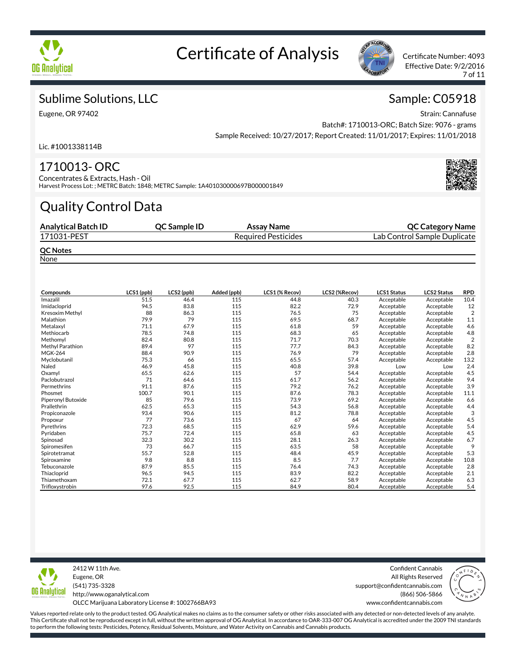



Effective Date: 9/2/2016 7 of 11

Sample: C05918

## Sublime Solutions, LLC

Eugene, OR 97402

Strain: Cannafuse Batch#: 1710013-ORC; Batch Size: 9076 - grams Sample Received: 10/27/2017; Report Created: 11/01/2017; Expires: 11/01/2018

Lic. #1001338114B

### 1710013- ORC

Concentrates & Extracts, Hash - Oil Harvest Process Lot: ; METRC Batch: 1848; METRC Sample: 1A401030000697B000001849

# Quality Control Data

| <b>Analytical Batch ID</b> | <b>OC Sample ID</b> | Assay Name                 | <b>QC Category Name</b>      |
|----------------------------|---------------------|----------------------------|------------------------------|
| 171031-PEST                |                     | <b>Required Pesticides</b> | Lab Control Sample Duplicate |
| <b>QC Notes</b><br>.       |                     |                            |                              |

**None** 

| Compounds          | LCS1 (ppb) | LCS2 (ppb) | Added (ppb) | LCS1 (% Recov) | LCS2 (%Recov) | <b>LCS1 Status</b> | <b>LCS2 Status</b> | <b>RPD</b>     |
|--------------------|------------|------------|-------------|----------------|---------------|--------------------|--------------------|----------------|
| Imazalil           | 51.5       | 46.4       | 115         | 44.8           | 40.3          | Acceptable         | Acceptable         | 10.4           |
| Imidacloprid       | 94.5       | 83.8       | 115         | 82.2           | 72.9          | Acceptable         | Acceptable         | 12             |
| Kresoxim Methyl    | 88         | 86.3       | 115         | 76.5           | 75            | Acceptable         | Acceptable         | $\overline{2}$ |
| Malathion          | 79.9       | 79         | 115         | 69.5           | 68.7          | Acceptable         | Acceptable         | 1.1            |
| Metalaxyl          | 71.1       | 67.9       | 115         | 61.8           | 59            | Acceptable         | Acceptable         | 4.6            |
| Methiocarb         | 78.5       | 74.8       | 115         | 68.3           | 65            | Acceptable         | Acceptable         | 4.8            |
| Methomyl           | 82.4       | 80.8       | 115         | 71.7           | 70.3          | Acceptable         | Acceptable         | $\overline{2}$ |
| Methyl Parathion   | 89.4       | 97         | 115         | 77.7           | 84.3          | Acceptable         | Acceptable         | 8.2            |
| <b>MGK-264</b>     | 88.4       | 90.9       | 115         | 76.9           | 79            | Acceptable         | Acceptable         | 2.8            |
| Myclobutanil       | 75.3       | 66         | 115         | 65.5           | 57.4          | Acceptable         | Acceptable         | 13.2           |
| Naled              | 46.9       | 45.8       | 115         | 40.8           | 39.8          | Low                | Low                | 2.4            |
| Oxamyl             | 65.5       | 62.6       | 115         | 57             | 54.4          | Acceptable         | Acceptable         | 4.5            |
| Paclobutrazol      | 71         | 64.6       | 115         | 61.7           | 56.2          | Acceptable         | Acceptable         | 9.4            |
| Permethrins        | 91.1       | 87.6       | 115         | 79.2           | 76.2          | Acceptable         | Acceptable         | 3.9            |
| Phosmet            | 100.7      | 90.1       | 115         | 87.6           | 78.3          | Acceptable         | Acceptable         | 11.1           |
| Piperonyl Butoxide | 85         | 79.6       | 115         | 73.9           | 69.2          | Acceptable         | Acceptable         | 6.6            |
| Prallethrin        | 62.5       | 65.3       | 115         | 54.3           | 56.8          | Acceptable         | Acceptable         | 4.4            |
| Propiconazole      | 93.4       | 90.6       | 115         | 81.2           | 78.8          | Acceptable         | Acceptable         | 3              |
| Propoxur           | 77         | 73.6       | 115         | 67             | 64            | Acceptable         | Acceptable         | 4.5            |
| Pyrethrins         | 72.3       | 68.5       | 115         | 62.9           | 59.6          | Acceptable         | Acceptable         | 5.4            |
| Pyridaben          | 75.7       | 72.4       | 115         | 65.8           | 63            | Acceptable         | Acceptable         | 4.5            |
| Spinosad           | 32.3       | 30.2       | 115         | 28.1           | 26.3          | Acceptable         | Acceptable         | 6.7            |
| Spiromesifen       | 73         | 66.7       | 115         | 63.5           | 58            | Acceptable         | Acceptable         | 9              |
| Spirotetramat      | 55.7       | 52.8       | 115         | 48.4           | 45.9          | Acceptable         | Acceptable         | 5.3            |
| Spiroxamine        | 9.8        | 8.8        | 115         | 8.5            | 7.7           | Acceptable         | Acceptable         | 10.8           |
| Tebuconazole       | 87.9       | 85.5       | 115         | 76.4           | 74.3          | Acceptable         | Acceptable         | 2.8            |
| Thiacloprid        | 96.5       | 94.5       | 115         | 83.9           | 82.2          | Acceptable         | Acceptable         | 2.1            |
| Thiamethoxam       | 72.1       | 67.7       | 115         | 62.7           | 58.9          | Acceptable         | Acceptable         | 6.3            |
| Trifloxystrobin    | 97.6       | 92.5       | 115         | 84.9           | 80.4          | Acceptable         | Acceptable         | 5.4            |



2412 W 11th Ave. Eugene, OR (541) 735-3328 http://www.oganalytical.com

Confident Cannabis All Rights Reserved support@confidentcannabis.com (866) 506-5866



OLCC Marijuana Laboratory License #: 1002766BA93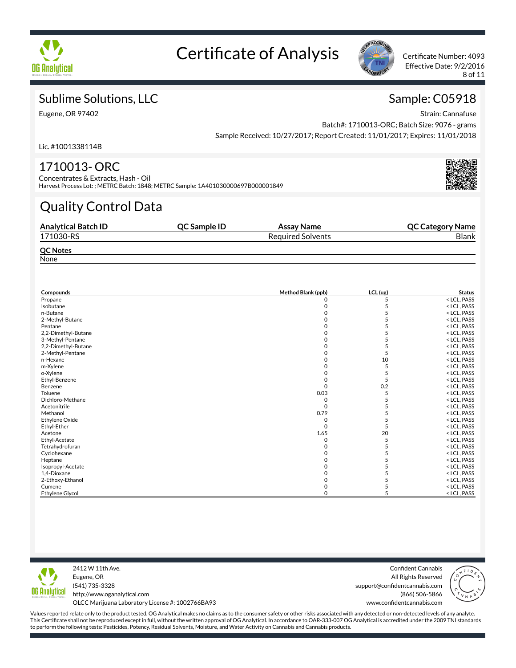



Effective Date: 9/2/2016 8 of 11

## Sublime Solutions, LLC

Eugene, OR 97402

Sample: C05918 Strain: Cannafuse

Batch#: 1710013-ORC; Batch Size: 9076 - grams Sample Received: 10/27/2017; Report Created: 11/01/2017; Expires: 11/01/2018

Lic. #1001338114B

## 1710013- ORC

Concentrates & Extracts, Hash - Oil Harvest Process Lot: ; METRC Batch: 1848; METRC Sample: 1A401030000697B000001849

# Quality Control Data

| <b>Analytical Batch ID</b> | <b>OC Sample ID</b> | Assay Name               | <b>QC Category Name</b> |
|----------------------------|---------------------|--------------------------|-------------------------|
| 171030-RS                  |                     | <b>Required Solvents</b> | <b>Blank</b>            |
| <b>QC Notes</b>            |                     |                          |                         |
| None                       |                     |                          |                         |

| Compounds              | Method Blank (ppb) | LCL (ug) | <b>Status</b> |  |
|------------------------|--------------------|----------|---------------|--|
| Propane                | 0                  | 5        | < LCL, PASS   |  |
| Isobutane              | 0                  |          | < LCL, PASS   |  |
| n-Butane               |                    |          | < LCL, PASS   |  |
| 2-Methyl-Butane        | O                  |          | < LCL, PASS   |  |
| Pentane                |                    |          | < LCL, PASS   |  |
| 2,2-Dimethyl-Butane    | O                  |          | < LCL, PASS   |  |
| 3-Methyl-Pentane       |                    |          | < LCL, PASS   |  |
| 2,2-Dimethyl-Butane    |                    |          | < LCL, PASS   |  |
| 2-Methyl-Pentane       |                    |          | < LCL, PASS   |  |
| n-Hexane               |                    | 10       | < LCL, PASS   |  |
| m-Xylene               | O                  | 5        | < LCL, PASS   |  |
| o-Xylene               |                    |          | < LCL, PASS   |  |
| Ethyl-Benzene          |                    | 5        | < LCL, PASS   |  |
| Benzene                | $\Omega$           | 0.2      | < LCL, PASS   |  |
| Toluene                | 0.03               | 5        | < LCL, PASS   |  |
| Dichloro-Methane       | O                  |          | < LCL, PASS   |  |
| Acetonitrile           | $\Omega$           |          | < LCL, PASS   |  |
| Methanol               | 0.79               |          | < LCL, PASS   |  |
| <b>Ethylene Oxide</b>  | O                  |          | < LCL, PASS   |  |
| Ethyl-Ether            | O                  |          | < LCL, PASS   |  |
| Acetone                | 1.65               | 20       | < LCL, PASS   |  |
| Ethyl-Acetate          | O                  |          | < LCL, PASS   |  |
| Tetrahydrofuran        |                    |          | < LCL, PASS   |  |
| Cyclohexane            | O                  |          | < LCL, PASS   |  |
| Heptane                | O                  |          | < LCL, PASS   |  |
| Isopropyl-Acetate      | O                  |          | < LCL, PASS   |  |
| 1,4-Dioxane            |                    |          | < LCL, PASS   |  |
| 2-Ethoxy-Ethanol       |                    |          | < LCL, PASS   |  |
| Cumene                 |                    |          | < LCL, PASS   |  |
| <b>Ethylene Glycol</b> | O                  |          | < LCL, PASS   |  |



2412 W 11th Ave. Eugene, OR (541) 735-3328 http://www.oganalytical.com

Confident Cannabis All Rights Reserved support@confidentcannabis.com (866) 506-5866 www.confidentcannabis.com



OLCC Marijuana Laboratory License #: 1002766BA93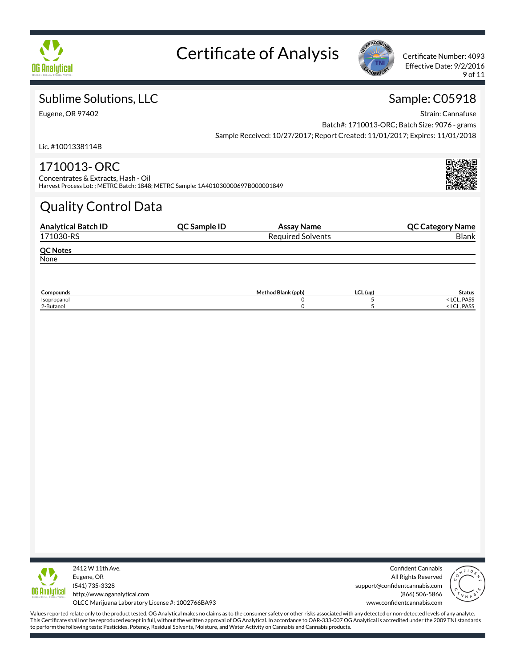



Effective Date: 9/2/2016 9 of 11

## Sublime Solutions, LLC

Eugene, OR 97402

Sample: C05918 Strain: Cannafuse

Batch#: 1710013-ORC; Batch Size: 9076 - grams Sample Received: 10/27/2017; Report Created: 11/01/2017; Expires: 11/01/2018

Lic. #1001338114B

### 1710013- ORC

Concentrates & Extracts, Hash - Oil Harvest Process Lot: ; METRC Batch: 1848; METRC Sample: 1A401030000697B000001849

# Quality Control Data

| <b>Analytical Batch ID</b> | QC Sample ID | Assay Name               | <b>QC Category Name</b> |
|----------------------------|--------------|--------------------------|-------------------------|
| 171030-RS                  |              | <b>Required Solvents</b> | <b>Blank</b>            |
| <b>QC Notes</b>            |              |                          |                         |
| None                       |              |                          |                         |

| <b>Compounds</b> | Method Blank (ppb) | LCL (ug | Status               |
|------------------|--------------------|---------|----------------------|
| Isopropanol      |                    |         | PASS<br>$\sim$<br>בש |
| 2-Butanol        |                    |         | PASS<br>ヽ ∟∪∟        |



2412 W 11th Ave. Eugene, OR (541) 735-3328 http://www.oganalytical.com

Confident Cannabis All Rights Reserved support@confidentcannabis.com (866) 506-5866 www.confidentcannabis.com



OLCC Marijuana Laboratory License #: 1002766BA93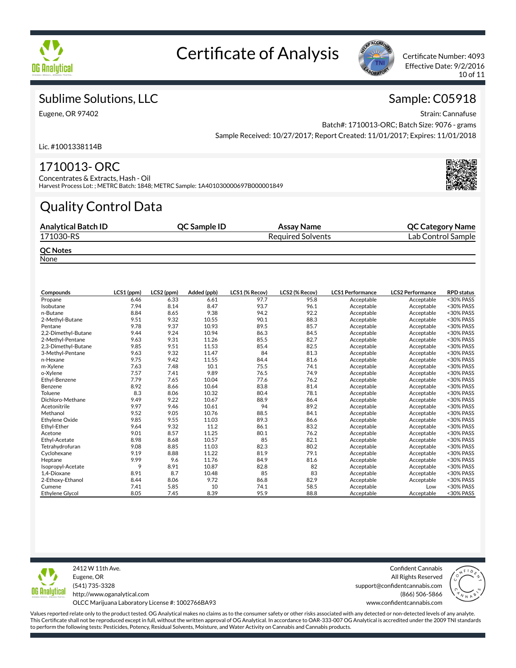



Effective Date: 9/2/2016 10 of 11

## Sublime Solutions, LLC

Eugene, OR 97402

Strain: Cannafuse Batch#: 1710013-ORC; Batch Size: 9076 - grams Sample Received: 10/27/2017; Report Created: 11/01/2017; Expires: 11/01/2018

Lic. #1001338114B

### 1710013- ORC

Concentrates & Extracts, Hash - Oil Harvest Process Lot: ; METRC Batch: 1848; METRC Sample: 1A401030000697B000001849

# Quality Control Data

| <b>Analytical Batch ID</b> | <b>OC Sample ID</b> | Assay Name               | <b>QC Category Name</b> |
|----------------------------|---------------------|--------------------------|-------------------------|
| 171030-RS                  |                     | <b>Required Solvents</b> | Lab Control Sample      |
| <b>QC Notes</b><br>. .     |                     |                          |                         |

**None** 

| Compounds              | LCS1 (ppm) | LCS2 (ppm) | Added (ppb) | LCS1 (% Recov) | LCS2 (% Recov) | <b>LCS1 Performance</b> | <b>LCS2 Performance</b> | <b>RPD status</b> |
|------------------------|------------|------------|-------------|----------------|----------------|-------------------------|-------------------------|-------------------|
| Propane                | 6.46       | 6.33       | 6.61        | 97.7           | 95.8           | Acceptable              | Acceptable              | <30% PASS         |
| Isobutane              | 7.94       | 8.14       | 8.47        | 93.7           | 96.1           | Acceptable              | Acceptable              | <30% PASS         |
| n-Butane               | 8.84       | 8.65       | 9.38        | 94.2           | 92.2           | Acceptable              | Acceptable              | <30% PASS         |
| 2-Methyl-Butane        | 9.51       | 9.32       | 10.55       | 90.1           | 88.3           | Acceptable              | Acceptable              | <30% PASS         |
| Pentane                | 9.78       | 9.37       | 10.93       | 89.5           | 85.7           | Acceptable              | Acceptable              | <30% PASS         |
| 2,2-Dimethyl-Butane    | 9.44       | 9.24       | 10.94       | 86.3           | 84.5           | Acceptable              | Acceptable              | <30% PASS         |
| 2-Methyl-Pentane       | 9.63       | 9.31       | 11.26       | 85.5           | 82.7           | Acceptable              | Acceptable              | <30% PASS         |
| 2,3-Dimethyl-Butane    | 9.85       | 9.51       | 11.53       | 85.4           | 82.5           | Acceptable              | Acceptable              | <30% PASS         |
| 3-Methyl-Pentane       | 9.63       | 9.32       | 11.47       | 84             | 81.3           | Acceptable              | Acceptable              | <30% PASS         |
| n-Hexane               | 9.75       | 9.42       | 11.55       | 84.4           | 81.6           | Acceptable              | Acceptable              | <30% PASS         |
| m-Xylene               | 7.63       | 7.48       | 10.1        | 75.5           | 74.1           | Acceptable              | Acceptable              | <30% PASS         |
| o-Xylene               | 7.57       | 7.41       | 9.89        | 76.5           | 74.9           | Acceptable              | Acceptable              | <30% PASS         |
| Ethyl-Benzene          | 7.79       | 7.65       | 10.04       | 77.6           | 76.2           | Acceptable              | Acceptable              | <30% PASS         |
| Benzene                | 8.92       | 8.66       | 10.64       | 83.8           | 81.4           | Acceptable              | Acceptable              | <30% PASS         |
| Toluene                | 8.3        | 8.06       | 10.32       | 80.4           | 78.1           | Acceptable              | Acceptable              | <30% PASS         |
| Dichloro-Methane       | 9.49       | 9.22       | 10.67       | 88.9           | 86.4           | Acceptable              | Acceptable              | <30% PASS         |
| Acetonitrile           | 9.97       | 9.46       | 10.61       | 94             | 89.2           | Acceptable              | Acceptable              | <30% PASS         |
| Methanol               | 9.52       | 9.05       | 10.76       | 88.5           | 84.1           | Acceptable              | Acceptable              | <30% PASS         |
| <b>Ethylene Oxide</b>  | 9.85       | 9.55       | 11.03       | 89.3           | 86.6           | Acceptable              | Acceptable              | <30% PASS         |
| Ethyl-Ether            | 9.64       | 9.32       | 11.2        | 86.1           | 83.2           | Acceptable              | Acceptable              | <30% PASS         |
| Acetone                | 9.01       | 8.57       | 11.25       | 80.1           | 76.2           | Acceptable              | Acceptable              | <30% PASS         |
| Ethyl-Acetate          | 8.98       | 8.68       | 10.57       | 85             | 82.1           | Acceptable              | Acceptable              | <30% PASS         |
| Tetrahydrofuran        | 9.08       | 8.85       | 11.03       | 82.3           | 80.2           | Acceptable              | Acceptable              | <30% PASS         |
| Cyclohexane            | 9.19       | 8.88       | 11.22       | 81.9           | 79.1           | Acceptable              | Acceptable              | <30% PASS         |
| Heptane                | 9.99       | 9.6        | 11.76       | 84.9           | 81.6           | Acceptable              | Acceptable              | <30% PASS         |
| Isopropyl-Acetate      | 9          | 8.91       | 10.87       | 82.8           | 82             | Acceptable              | Acceptable              | <30% PASS         |
| 1,4-Dioxane            | 8.91       | 8.7        | 10.48       | 85             | 83             | Acceptable              | Acceptable              | <30% PASS         |
| 2-Ethoxy-Ethanol       | 8.44       | 8.06       | 9.72        | 86.8           | 82.9           | Acceptable              | Acceptable              | <30% PASS         |
| Cumene                 | 7.41       | 5.85       | 10          | 74.1           | 58.5           | Acceptable              | Low                     | <30% PASS         |
| <b>Ethylene Glycol</b> | 8.05       | 7.45       | 8.39        | 95.9           | 88.8           | Acceptable              | Acceptable              | <30% PASS         |



2412 W 11th Ave. Eugene, OR (541) 735-3328 http://www.oganalytical.com OLCC Marijuana Laboratory License #: 1002766BA93

Confident Cannabis All Rights Reserved support@confidentcannabis.com (866) 506-5866